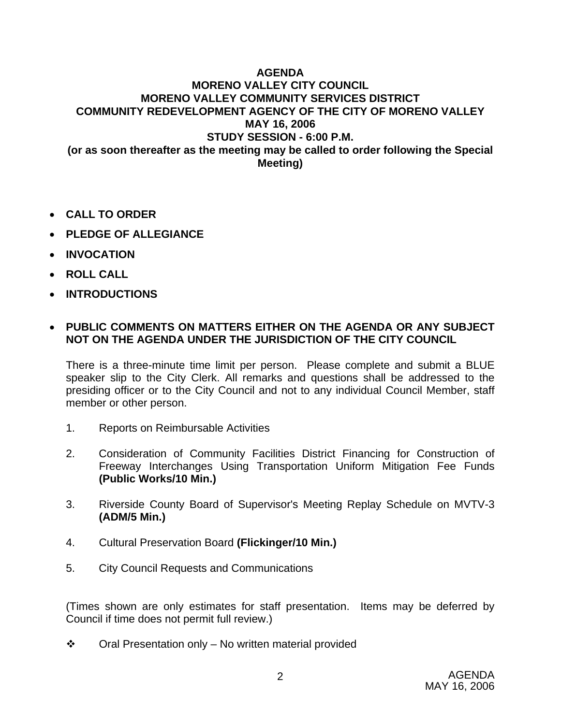## **AGENDA MORENO VALLEY CITY COUNCIL MORENO VALLEY COMMUNITY SERVICES DISTRICT COMMUNITY REDEVELOPMENT AGENCY OF THE CITY OF MORENO VALLEY MAY 16, 2006 STUDY SESSION - 6:00 P.M. (or as soon thereafter as the meeting may be called to order following the Special Meeting)**

- **CALL TO ORDER**
- **PLEDGE OF ALLEGIANCE**
- **INVOCATION**
- **ROLL CALL**
- **INTRODUCTIONS**

## • **PUBLIC COMMENTS ON MATTERS EITHER ON THE AGENDA OR ANY SUBJECT NOT ON THE AGENDA UNDER THE JURISDICTION OF THE CITY COUNCIL**

There is a three-minute time limit per person. Please complete and submit a BLUE speaker slip to the City Clerk. All remarks and questions shall be addressed to the presiding officer or to the City Council and not to any individual Council Member, staff member or other person.

- 1. Reports on Reimbursable Activities
- 2. Consideration of Community Facilities District Financing for Construction of Freeway Interchanges Using Transportation Uniform Mitigation Fee Funds **(Public Works/10 Min.)**
- 3. Riverside County Board of Supervisor's Meeting Replay Schedule on MVTV-3 **(ADM/5 Min.)**
- 4. Cultural Preservation Board **(Flickinger/10 Min.)**
- 5. City Council Requests and Communications

(Times shown are only estimates for staff presentation. Items may be deferred by Council if time does not permit full review.)

 $\div$  Oral Presentation only – No written material provided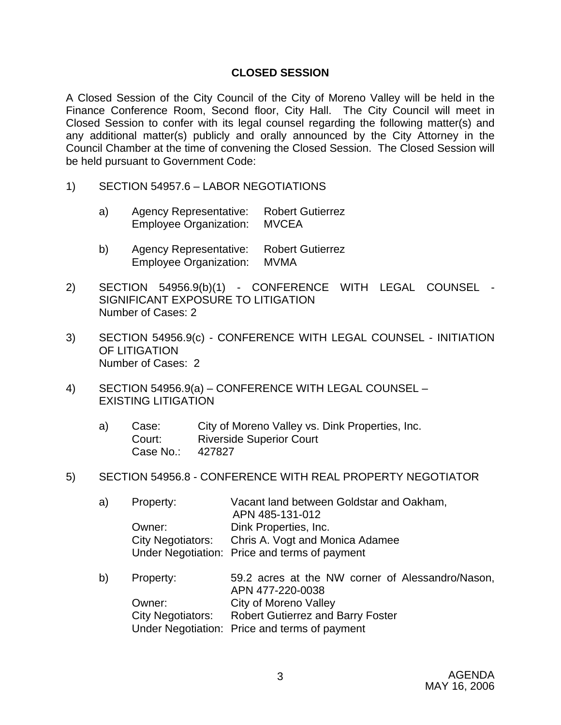## **CLOSED SESSION**

A Closed Session of the City Council of the City of Moreno Valley will be held in the Finance Conference Room, Second floor, City Hall. The City Council will meet in Closed Session to confer with its legal counsel regarding the following matter(s) and any additional matter(s) publicly and orally announced by the City Attorney in the Council Chamber at the time of convening the Closed Session. The Closed Session will be held pursuant to Government Code:

- 1) SECTION 54957.6 LABOR NEGOTIATIONS
	- a) Agency Representative: Robert Gutierrez Employee Organization: MVCEA
	- b) Agency Representative: Robert Gutierrez Employee Organization: MVMA
- 2) SECTION 54956.9(b)(1) CONFERENCE WITH LEGAL COUNSEL SIGNIFICANT EXPOSURE TO LITIGATION Number of Cases: 2
- 3) SECTION 54956.9(c) CONFERENCE WITH LEGAL COUNSEL INITIATION OF LITIGATION Number of Cases: 2
- 4) SECTION 54956.9(a) CONFERENCE WITH LEGAL COUNSEL EXISTING LITIGATION
	- a) Case: City of Moreno Valley vs. Dink Properties, Inc. Court: Riverside Superior Court Case No.: 427827
- 5) SECTION 54956.8 CONFERENCE WITH REAL PROPERTY NEGOTIATOR

| a) | Property:                | Vacant land between Goldstar and Oakham,      |
|----|--------------------------|-----------------------------------------------|
|    |                          | APN 485-131-012                               |
|    | Owner:                   | Dink Properties, Inc.                         |
|    | <b>City Negotiators:</b> | Chris A. Vogt and Monica Adamee               |
|    |                          | Under Negotiation: Price and terms of payment |
|    |                          |                                               |

b) Property: 59.2 acres at the NW corner of Alessandro/Nason, APN 477-220-0038 Owner: City of Moreno Valley City Negotiators: Robert Gutierrez and Barry Foster Under Negotiation: Price and terms of payment